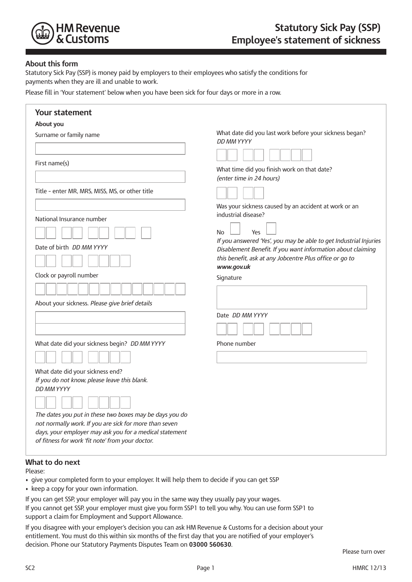

## **About this form**

Statutory Sick Pay (SSP) is money paid by employers to their employees who satisfy the conditions for payments when they are ill and unable to work.

Please fill in 'Your statement' below when you have been sick for four days or more in a row.

| <b>Your statement</b>                                                                                                                                                                                                                                                                                                                     |                                                                                                                                                                                                                                                                                                                                               |
|-------------------------------------------------------------------------------------------------------------------------------------------------------------------------------------------------------------------------------------------------------------------------------------------------------------------------------------------|-----------------------------------------------------------------------------------------------------------------------------------------------------------------------------------------------------------------------------------------------------------------------------------------------------------------------------------------------|
| About you                                                                                                                                                                                                                                                                                                                                 |                                                                                                                                                                                                                                                                                                                                               |
| Surname or family name                                                                                                                                                                                                                                                                                                                    | What date did you last work before your sickness began?<br>DD MM YYYY                                                                                                                                                                                                                                                                         |
| First name(s)                                                                                                                                                                                                                                                                                                                             | What time did you finish work on that date?<br>(enter time in 24 hours)                                                                                                                                                                                                                                                                       |
| Title - enter MR, MRS, MISS, MS, or other title                                                                                                                                                                                                                                                                                           |                                                                                                                                                                                                                                                                                                                                               |
| National Insurance number<br>Date of birth <i>DD MM YYYY</i><br>Clock or payroll number<br>About your sickness. Please give brief details                                                                                                                                                                                                 | Was your sickness caused by an accident at work or an<br>industrial disease?<br>Yes<br>No<br>If you answered 'Yes', you may be able to get Industrial Injuries<br>Disablement Benefit. If you want information about claiming<br>this benefit, ask at any Jobcentre Plus office or go to<br>www.gov.uk<br>Signature<br>Date <i>DD MM YYYY</i> |
| What date did your sickness begin? DD MM YYYY                                                                                                                                                                                                                                                                                             | Phone number                                                                                                                                                                                                                                                                                                                                  |
| What date did your sickness end?<br>If you do not know, please leave this blank.<br><b>DD MM YYYY</b><br>The dates you put in these two boxes may be days you do<br>not normally work. If you are sick for more than seven<br>days, your employer may ask you for a medical statement<br>of fitness for work 'fit note' from your doctor. |                                                                                                                                                                                                                                                                                                                                               |

## **What to do next**

Please:

- give your completed form to your employer. It will help them to decide if you can get SSP
- keep a copy for your own information.

If you can get SSP, your employer will pay you in the same way they usually pay your wages. If you cannot get SSP, your employer must give you form SSP1 to tell you why. You can use form SSP1 to support a claim for Employment and Support Allowance.

If you disagree with your employer's decision you can ask HM Revenue & Customs for a decision about your entitlement. You must do this within six months of the first day that you are notified of your employer's decision. Phone our Statutory Payments Disputes Team on **03000 560630**.

Please turn over